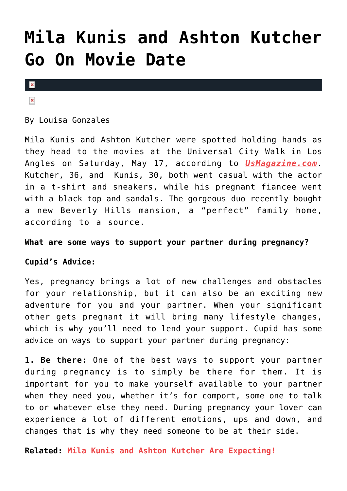## **[Mila Kunis and Ashton Kutcher](https://cupidspulse.com/75337/mila-kunis-and-ashton-kutcher-go-on-movie-date/) [Go On Movie Date](https://cupidspulse.com/75337/mila-kunis-and-ashton-kutcher-go-on-movie-date/)**

 $\mathbf{x}$ 

 $\pmb{\times}$ 

By Louisa Gonzales

Mila Kunis and Ashton Kutcher were spotted holding hands as they head to the movies at the Universal City Walk in Los Angles on Saturday, May 17, according to *[UsMagazine.com](http://www.usmagazine.com/celebrity-news/news/mila-kunis-ashton-kutcher-movie-date-picture-2014185)*. Kutcher, 36, and Kunis, 30, both went casual with the actor in a t-shirt and sneakers, while his pregnant fiancee went with a black top and sandals. The gorgeous duo recently bought a new Beverly Hills mansion, a "perfect" family home, according to a source.

## **What are some ways to support your partner during pregnancy?**

## **Cupid's Advice:**

Yes, pregnancy brings a lot of new challenges and obstacles for your relationship, but it can also be an exciting new adventure for you and your partner. When your significant other gets pregnant it will bring many lifestyle changes, which is why you'll need to lend your support. Cupid has some advice on ways to support your partner during pregnancy:

**1. Be there:** One of the best ways to support your partner during pregnancy is to simply be there for them. It is important for you to make yourself available to your partner when they need you, whether it's for comport, some one to talk to or whatever else they need. During pregnancy your lover can experience a lot of different emotions, ups and down, and changes that is why they need someone to be at their side.

**Related: [Mila Kunis and Ashton Kutcher Are Expecting!](http://www.cupidspulse.com/mila-kunis-ashton-kutcher-expecting/)**